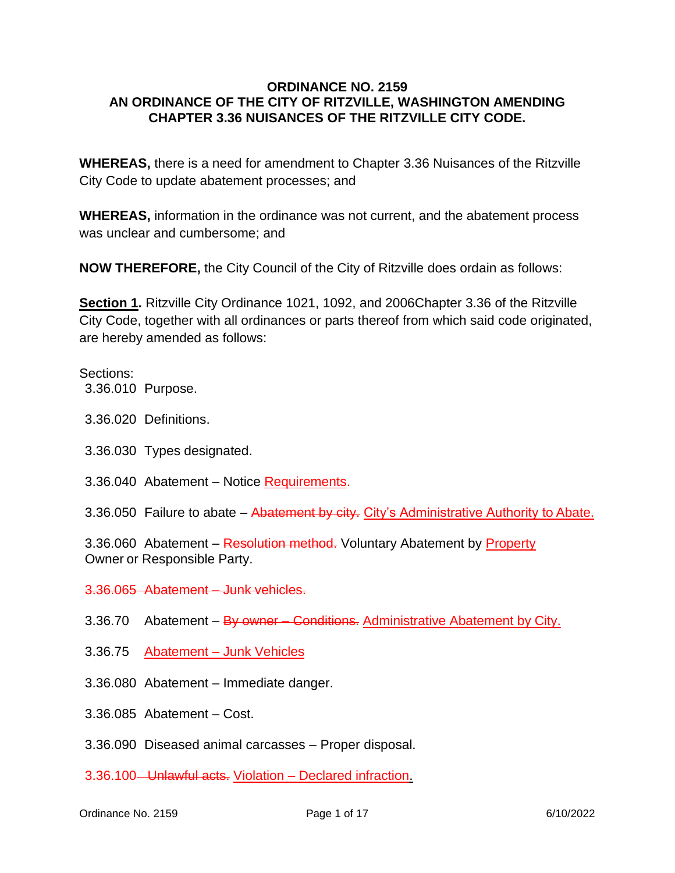#### **ORDINANCE NO. 2159 AN ORDINANCE OF THE CITY OF RITZVILLE, WASHINGTON AMENDING CHAPTER 3.36 NUISANCES OF THE RITZVILLE CITY CODE.**

**WHEREAS,** there is a need for amendment to Chapter 3.36 Nuisances of the Ritzville City Code to update abatement processes; and

**WHEREAS,** information in the ordinance was not current, and the abatement process was unclear and cumbersome; and

**NOW THEREFORE,** the City Council of the City of Ritzville does ordain as follows:

**Section 1.** Ritzville City Ordinance 1021, 1092, and 2006Chapter 3.36 of the Ritzville City Code, together with all ordinances or parts thereof from which said code originated, are hereby amended as follows:

#### Sections:

3.36.010 [Purpose.](https://www.codepublishing.com/WA/Ritzville/html/Ritzville03/Ritzville0336.html#3.36.010)

- 3.36.020 [Definitions.](https://www.codepublishing.com/WA/Ritzville/html/Ritzville03/Ritzville0336.html#3.36.020)
- 3.36.030 Types [designated.](https://www.codepublishing.com/WA/Ritzville/html/Ritzville03/Ritzville0336.html#3.36.030)
- 3.36.040 Abatement [Notice Requirements.](https://www.codepublishing.com/WA/Ritzville/html/Ritzville03/Ritzville0336.html#3.36.040)
- 3.36.050 Failure to abate Abatement by city. [City's Administrative Authority to](https://www.codepublishing.com/WA/Ritzville/html/Ritzville03/Ritzville0336.html#3.36.050) Abate.

3.36.060 Abatement – Resolution method. [Voluntary Abatement by Property](https://www.codepublishing.com/WA/Ritzville/html/Ritzville03/Ritzville0336.html#3.36.060) [Owner](https://www.codepublishing.com/WA/Ritzville/html/Ritzville03/Ritzville0336.html#3.36.060) or [Responsible](https://www.codepublishing.com/WA/Ritzville/html/Ritzville03/Ritzville0336.html#3.36.060) Party.

3.36.065 Abatement – [Junk vehicles.](https://www.codepublishing.com/WA/Ritzville/html/Ritzville03/Ritzville0336.html#3.36.065)

- 3.36.70 Abatement By owner Conditions. [Administrative Abatement by](https://www.codepublishing.com/WA/Ritzville/html/Ritzville03/Ritzville0336.html#3.36.070) City.
- 3.36.75 Abatement Junk Vehicles
- 3.36.080 [Abatement –](https://www.codepublishing.com/WA/Ritzville/html/Ritzville03/Ritzville0336.html#3.36.080) Immediate danger.
- 3.36.085 [Abatement –](https://www.codepublishing.com/WA/Ritzville/html/Ritzville03/Ritzville0336.html#3.36.085) Cost.
- 3.36.090 [Diseased animal carcasses –](https://www.codepublishing.com/WA/Ritzville/html/Ritzville03/Ritzville0336.html#3.36.090) Proper disposal.
- [3.36.100 Unlawful acts.](https://www.codepublishing.com/WA/Ritzville/html/Ritzville03/Ritzville0336.html#3.36.100) Violation Declared infraction[.](https://www.codepublishing.com/WA/Ritzville/html/Ritzville03/Ritzville0336.html#3.36.110)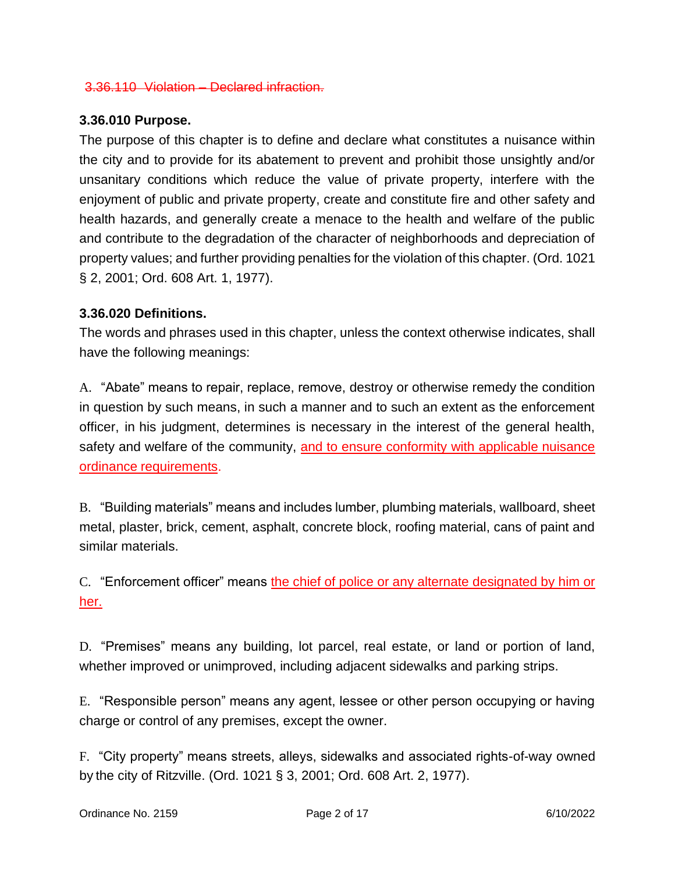#### 3.36.110 Violation – [Declared infraction.](https://www.codepublishing.com/WA/Ritzville/html/Ritzville03/Ritzville0336.html#3.36.110)

### **3.36.010 Purpose.**

The purpose of this chapter is to define and declare what constitutes a nuisance within the city and to provide for its abatement to prevent and prohibit those unsightly and/or unsanitary conditions which reduce the value of private property, interfere with the enjoyment of public and private property, create and constitute fire and other safety and health hazards, and generally create a menace to the health and welfare of the public and contribute to the degradation of the character of neighborhoods and depreciation of property values; and further providing penalties for the violation of this chapter. (Ord. 1021 § 2, 2001; Ord. 608 Art. 1, 1977).

### **3.36.020 Definitions.**

The words and phrases used in this chapter, unless the context otherwise indicates, shall have the following meanings:

A. "Abate" means to repair, replace, remove, destroy or otherwise remedy the condition in question by such means, in such a manner and to such an extent as the enforcement officer, in his judgment, determines is necessary in the interest of the general health, safety and welfare of the community, and to ensure conformity with applicable nuisance ordinance requirements.

B. "Building materials" means and includes lumber, plumbing materials, wallboard, sheet metal, plaster, brick, cement, asphalt, concrete block, roofing material, cans of paint and similar materials.

C. "Enforcement officer" means the chief of police or any alternate designated by him or her.

D. "Premises" means any building, lot parcel, real estate, or land or portion of land, whether improved or unimproved, including adjacent sidewalks and parking strips.

E. "Responsible person" means any agent, lessee or other person occupying or having charge or control of any premises, except the owner.

F. "City property" means streets, alleys, sidewalks and associated rights-of-way owned by the city of Ritzville. (Ord. 1021 § 3, 2001; Ord. 608 Art. 2, 1977).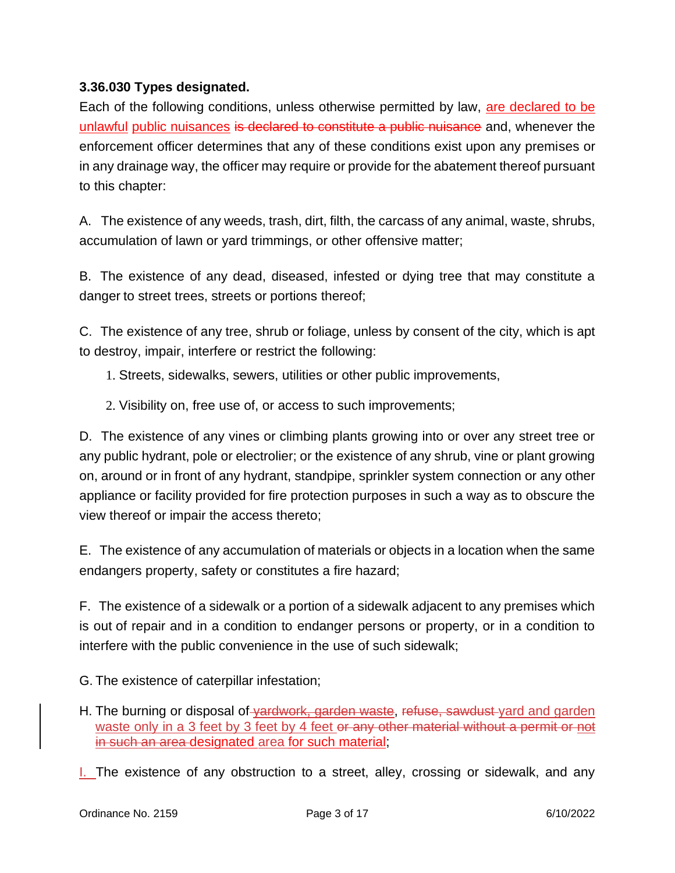## **3.36.030 Types designated.**

Each of the following conditions, unless otherwise permitted by law, are declared to be unlawful public nuisances is declared to constitute a public nuisance and, whenever the enforcement officer determines that any of these conditions exist upon any premises or in any drainage way, the officer may require or provide for the abatement thereof pursuant to this chapter:

A. The existence of any weeds, trash, dirt, filth, the carcass of any animal, waste, shrubs, accumulation of lawn or yard trimmings, or other offensive matter;

B. The existence of any dead, diseased, infested or dying tree that may constitute a danger to street trees, streets or portions thereof;

C. The existence of any tree, shrub or foliage, unless by consent of the city, which is apt to destroy, impair, interfere or restrict the following:

1. Streets, sidewalks, sewers, utilities or other public improvements,

2. Visibility on, free use of, or access to such improvements;

D. The existence of any vines or climbing plants growing into or over any street tree or any public hydrant, pole or electrolier; or the existence of any shrub, vine or plant growing on, around or in front of any hydrant, standpipe, sprinkler system connection or any other appliance or facility provided for fire protection purposes in such a way as to obscure the view thereof or impair the access thereto;

E. The existence of any accumulation of materials or objects in a location when the same endangers property, safety or constitutes a fire hazard;

F. The existence of a sidewalk or a portion of a sidewalk adjacent to any premises which is out of repair and in a condition to endanger persons or property, or in a condition to interfere with the public convenience in the use of such sidewalk;

G. The existence of caterpillar infestation;

- H. The burning or disposal of vardwork, garden waste, refuse, sawdust yard and garden waste only in a 3 feet by 3 feet by 4 feet or any other material without a permit or not in such an area designated area for such material;
- I. The existence of any obstruction to a street, alley, crossing or sidewalk, and any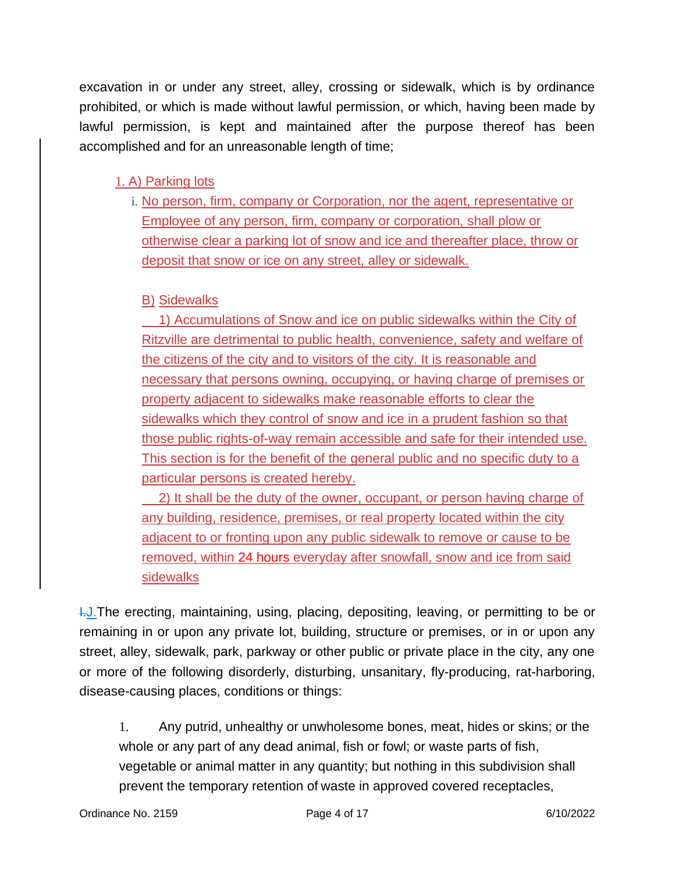excavation in or under any street, alley, crossing or sidewalk, which is by ordinance prohibited, or which is made without lawful permission, or which, having been made by lawful permission, is kept and maintained after the purpose thereof has been accomplished and for an unreasonable length of time;

# 1. A) Parking lots

i. No person, firm, company or Corporation, nor the agent, representative or Employee of any person, firm, company or corporation, shall plow or otherwise clear a parking lot of snow and ice and thereafter place, throw or deposit that snow or ice on any street, alley or sidewalk.

# B) Sidewalks

1) Accumulations of Snow and ice on public sidewalks within the City of Ritzville are detrimental to public health, convenience, safety and welfare of the citizens of the city and to visitors of the city. It is reasonable and necessary that persons owning, occupying, or having charge of premises or property adjacent to sidewalks make reasonable efforts to clear the sidewalks which they control of snow and ice in a prudent fashion so that those public rights-of-way remain accessible and safe for their intended use. This section is for the benefit of the general public and no specific duty to a particular persons is created hereby.

2) It shall be the duty of the owner, occupant, or person having charge of any building, residence, premises, or real property located within the city adjacent to or fronting upon any public sidewalk to remove or cause to be removed, within 24 hours everyday after snowfall, snow and ice from said sidewalks

**I.J.**The erecting, maintaining, using, placing, depositing, leaving, or permitting to be or remaining in or upon any private lot, building, structure or premises, or in or upon any street, alley, sidewalk, park, parkway or other public or private place in the city, any one or more of the following disorderly, disturbing, unsanitary, fly-producing, rat-harboring, disease-causing places, conditions or things:

1. Any putrid, unhealthy or unwholesome bones, meat, hides or skins; or the whole or any part of any dead animal, fish or fowl; or waste parts of fish, vegetable or animal matter in any quantity; but nothing in this subdivision shall prevent the temporary retention of waste in approved covered receptacles,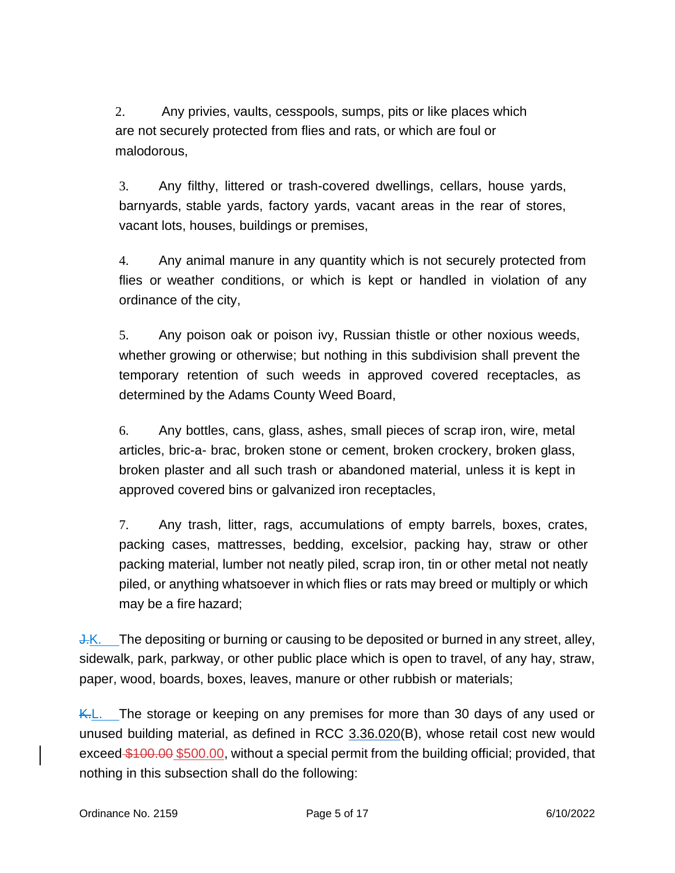2. Any privies, vaults, cesspools, sumps, pits or like places which are not securely protected from flies and rats, or which are foul or malodorous,

3. Any filthy, littered or trash-covered dwellings, cellars, house yards, barnyards, stable yards, factory yards, vacant areas in the rear of stores, vacant lots, houses, buildings or premises,

4. Any animal manure in any quantity which is not securely protected from flies or weather conditions, or which is kept or handled in violation of any ordinance of the city,

5. Any poison oak or poison ivy, Russian thistle or other noxious weeds, whether growing or otherwise; but nothing in this subdivision shall prevent the temporary retention of such weeds in approved covered receptacles, as determined by the Adams County Weed Board,

6. Any bottles, cans, glass, ashes, small pieces of scrap iron, wire, metal articles, bric-a- brac, broken stone or cement, broken crockery, broken glass, broken plaster and all such trash or abandoned material, unless it is kept in approved covered bins or galvanized iron receptacles,

7. Any trash, litter, rags, accumulations of empty barrels, boxes, crates, packing cases, mattresses, bedding, excelsior, packing hay, straw or other packing material, lumber not neatly piled, scrap iron, tin or other metal not neatly piled, or anything whatsoever in which flies or rats may breed or multiply or which may be a fire hazard;

J.K. The depositing or burning or causing to be deposited or burned in any street, alley, sidewalk, park, parkway, or other public place which is open to travel, of any hay, straw, paper, wood, boards, boxes, leaves, manure or other rubbish or materials;

K.L. The storage or keeping on any premises for more than 30 days of any used or unused building material, as defined in RCC 3.36.020(B), whose retail cost new would exceed \$100.00 \$500.00, without a special permit from the building official; provided, that nothing in this subsection shall do the following: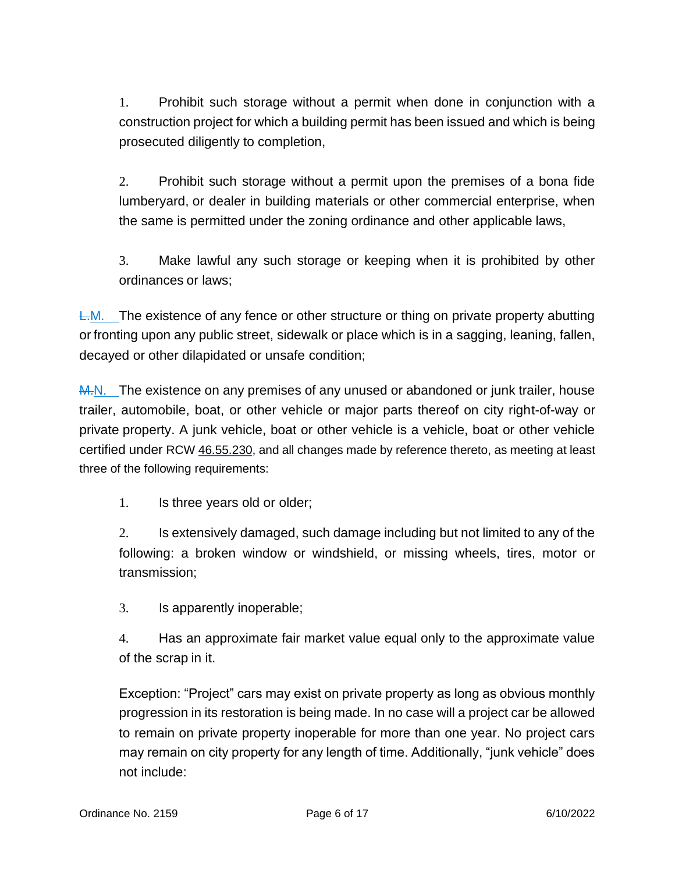1. Prohibit such storage without a permit when done in conjunction with a construction project for which a building permit has been issued and which is being prosecuted diligently to completion,

2. Prohibit such storage without a permit upon the premises of a bona fide lumberyard, or dealer in building materials or other commercial enterprise, when the same is permitted under the zoning ordinance and other applicable laws,

3. Make lawful any such storage or keeping when it is prohibited by other ordinances or laws;

 $L.M.$  The existence of any fence or other structure or thing on private property abutting or fronting upon any public street, sidewalk or place which is in a sagging, leaning, fallen, decayed or other dilapidated or unsafe condition;

M.N. The existence on any premises of any unused or abandoned or junk trailer, house trailer, automobile, boat, or other vehicle or major parts thereof on city right-of-way or private property. A junk vehicle, boat or other vehicle is a vehicle, boat or other vehicle certified under RCW [46.55.230,](https://www.codepublishing.com/cgi-bin/rcw.pl?cite=46.55.230) and all changes made by reference thereto, as meeting at least three of the following requirements:

1. Is three years old or older;

2. Is extensively damaged, such damage including but not limited to any of the following: a broken window or windshield, or missing wheels, tires, motor or transmission;

3. Is apparently inoperable;

4. Has an approximate fair market value equal only to the approximate value of the scrap in it.

Exception: "Project" cars may exist on private property as long as obvious monthly progression in its restoration is being made. In no case will a project car be allowed to remain on private property inoperable for more than one year. No project cars may remain on city property for any length of time. Additionally, "junk vehicle" does not include: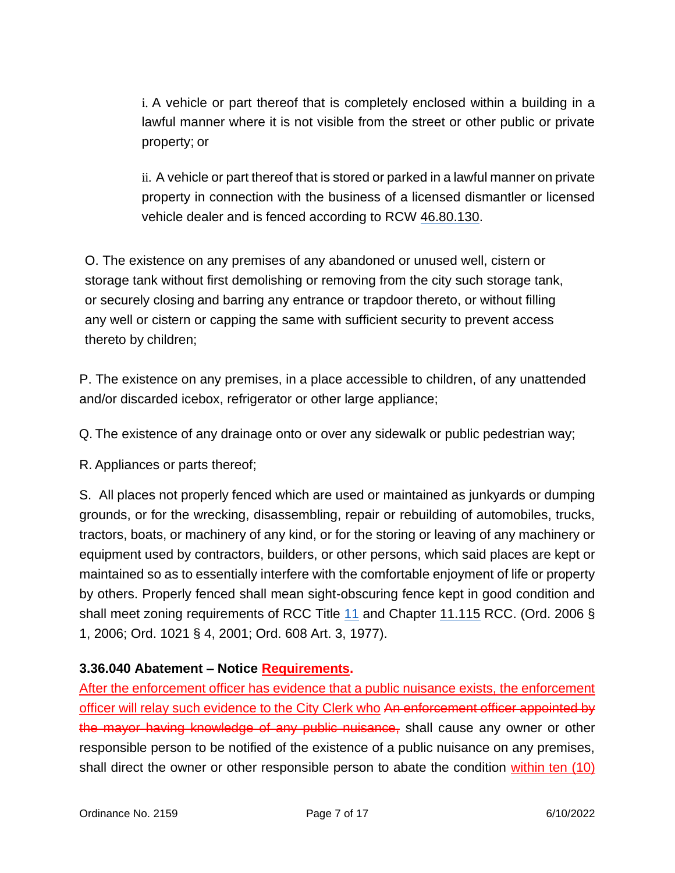i. A vehicle or part thereof that is completely enclosed within a building in a lawful manner where it is not visible from the street or other public or private property; or

ii. A vehicle or part thereof that is stored or parked in a lawful manner on private property in connection with the business of a licensed dismantler or licensed vehicle dealer and is fenced according to RCW [46.80.130.](https://www.codepublishing.com/cgi-bin/rcw.pl?cite=46.80.130)

O. The existence on any premises of any abandoned or unused well, cistern or storage tank without first demolishing or removing from the city such storage tank, or securely closing and barring any entrance or trapdoor thereto, or without filling any well or cistern or capping the same with sufficient security to prevent access thereto by children;

P. The existence on any premises, in a place accessible to children, of any unattended and/or discarded icebox, refrigerator or other large appliance;

Q. The existence of any drainage onto or over any sidewalk or public pedestrian way;

R. Appliances or parts thereof;

S. All places not properly fenced which are used or maintained as junkyards or dumping grounds, or for the wrecking, disassembling, repair or rebuilding of automobiles, trucks, tractors, boats, or machinery of any kind, or for the storing or leaving of any machinery or equipment used by contractors, builders, or other persons, which said places are kept or maintained so as to essentially interfere with the comfortable enjoyment of life or property by others. Properly fenced shall mean sight-obscuring fence kept in good condition and shall meet zoning requirements of RCC Title [11](https://www.codepublishing.com/WA/Ritzville/html/Ritzville11/Ritzville11.html#11) and Chapter [11.115](https://www.codepublishing.com/WA/Ritzville/html/Ritzville11/Ritzville11115.html#11.115) RCC. (Ord. 2006 § 1, 2006; Ord. 1021 § 4, 2001; Ord. 608 Art. 3, 1977).

# **3.36.040 Abatement – Notice Requirements.**

After the enforcement officer has evidence that a public nuisance exists, the enforcement officer will relay such evidence to the City Clerk who An enforcement officer appointed by the mayor having knowledge of any public nuisance, shall cause any owner or other responsible person to be notified of the existence of a public nuisance on any premises, shall direct the owner or other responsible person to abate the condition within ten (10)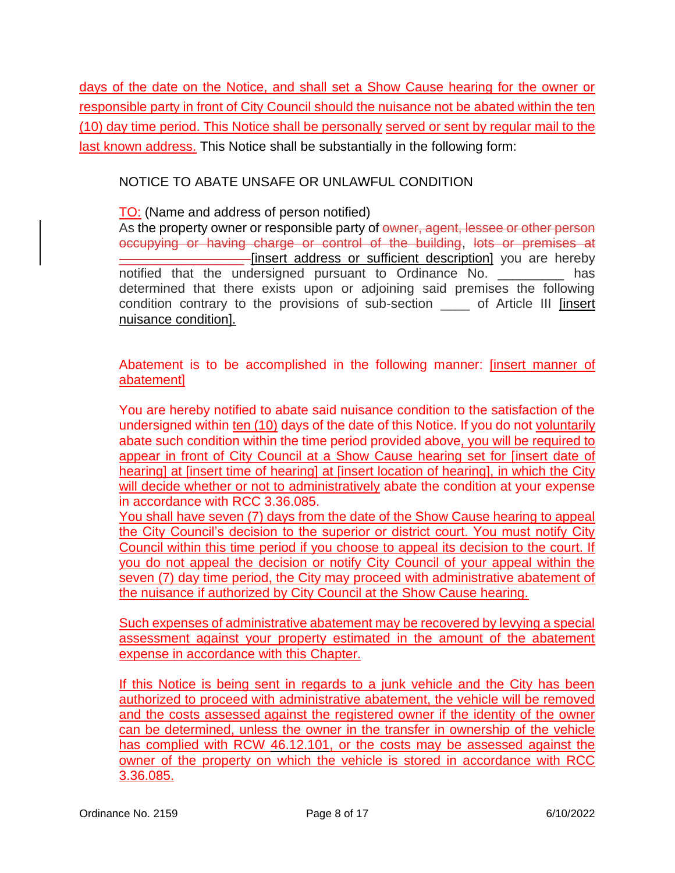days of the date on the Notice, and shall set a Show Cause hearing for the owner or responsible party in front of City Council should the nuisance not be abated within the ten (10) day time period. This Notice shall be personally served or sent by regular mail to the last known address. This Notice shall be substantially in the following form:

## NOTICE TO ABATE UNSAFE OR UNLAWFUL CONDITION

### TO: (Name and address of person notified)

As the property owner or responsible party of owner, agent, lessee or other person occupying or having charge or control of the building, lots or premises at \_\_\_\_\_\_\_\_\_\_\_\_\_\_\_\_\_ [insert address or sufficient description] you are hereby notified that the undersigned pursuant to Ordinance No. \_\_\_\_\_\_\_\_\_ has determined that there exists upon or adjoining said premises the following condition contrary to the provisions of sub-section \_\_\_\_ of Article III [insert nuisance condition].

Abatement is to be accomplished in the following manner: [insert manner of abatement]

You are hereby notified to abate said nuisance condition to the satisfaction of the undersigned within ten (10) days of the date of this Notice. If you do not voluntarily abate such condition within the time period provided above, you will be required to appear in front of City Council at a Show Cause hearing set for [insert date of hearing] at [insert time of hearing] at [insert location of hearing], in which the City will decide whether or not to administratively abate the condition at your expense in accordance with RCC 3.36.085.

You shall have seven (7) days from the date of the Show Cause hearing to appeal the City Council's decision to the superior or district court. You must notify City Council within this time period if you choose to appeal its decision to the court. If you do not appeal the decision or notify City Council of your appeal within the seven (7) day time period, the City may proceed with administrative abatement of the nuisance if authorized by City Council at the Show Cause hearing.

Such expenses of administrative abatement may be recovered by levying a special assessment against your property estimated in the amount of the abatement expense in accordance with this Chapter.

If this Notice is being sent in regards to a junk vehicle and the City has been authorized to proceed with administrative abatement, the vehicle will be removed and the costs assessed against the registered owner if the identity of the owner can be determined, unless the owner in the transfer in ownership of the vehicle has complied with RCW [46.12.101,](https://www.codepublishing.com/cgi-bin/rcw.pl?cite=46.12.101) or the costs may be assessed against the owner of the property on which the vehicle is stored in accordance with RCC 3.36.085.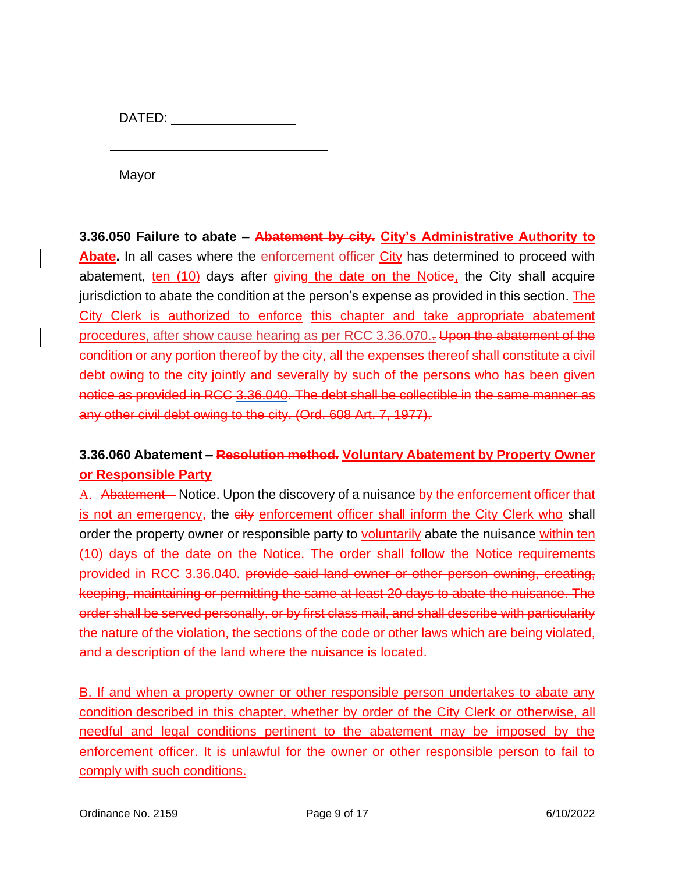DATED:

Mayor

**3.36.050 Failure to abate – Abatement by city. City's Administrative Authority to Abate.** In all cases where the enforcement officer City has determined to proceed with abatement, ten (10) days after giving the date on the Notice, the City shall acquire jurisdiction to abate the condition at the person's expense as provided in this section. The City Clerk is authorized to enforce this chapter and take appropriate abatement procedures, after show cause hearing as per RCC 3.36.070.. Upon the abatement of the condition or any portion thereof by the city, all the expenses thereof shall constitute a civil debt owing to the city jointly and severally by such of the persons who has been given notice as provided in RCC [3.36.040.](https://www.codepublishing.com/WA/Ritzville/html/Ritzville03/Ritzville0336.html#3.36.040) The debt shall be collectible in the same manner as any other civil debt owing to the city. (Ord. 608 Art. 7, 1977).

# **3.36.060 Abatement – Resolution method. Voluntary Abatement by Property Owner or Responsible Party**

A. Abatement – Notice. Upon the discovery of a nuisance by the enforcement officer that is not an emergency, the eity enforcement officer shall inform the City Clerk who shall order the property owner or responsible party to voluntarily abate the nuisance within ten (10) days of the date on the Notice. The order shall follow the Notice requirements provided in RCC 3.36.040. provide said land owner or other person owning, creating, keeping, maintaining or permitting the same at least 20 days to abate the nuisance. The order shall be served personally, or by first class mail, and shall describe with particularity the nature of the violation, the sections of the code or other laws which are being violated, and a description of the land where the nuisance is located.

B. If and when a property owner or other responsible person undertakes to abate any condition described in this chapter, whether by order of the City Clerk or otherwise, all needful and legal conditions pertinent to the abatement may be imposed by the enforcement officer. It is unlawful for the owner or other responsible person to fail to comply with such conditions.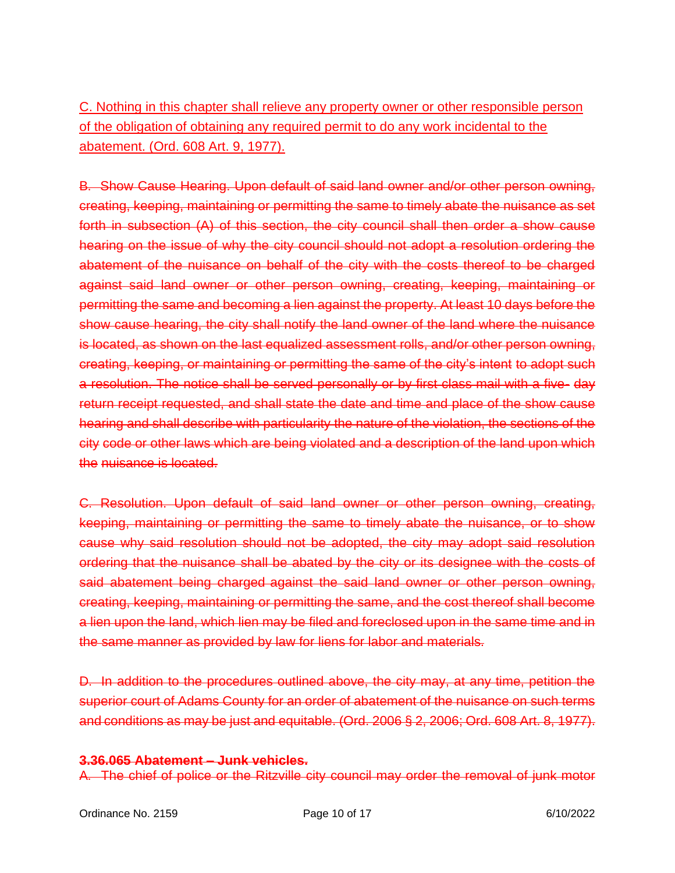C. Nothing in this chapter shall relieve any property owner or other responsible person of the obligation of obtaining any required permit to do any work incidental to the abatement. (Ord. 608 Art. 9, 1977).

B. Show Cause Hearing. Upon default of said land owner and/or other person owning, creating, keeping, maintaining or permitting the same to timely abate the nuisance as set forth in subsection (A) of this section, the city council shall then order a show cause hearing on the issue of why the city council should not adopt a resolution ordering the abatement of the nuisance on behalf of the city with the costs thereof to be charged against said land owner or other person owning, creating, keeping, maintaining or permitting the same and becoming a lien against the property. At least 10 days before the show cause hearing, the city shall notify the land owner of the land where the nuisance is located, as shown on the last equalized assessment rolls, and/or other person owning, creating, keeping, or maintaining or permitting the same of the city's intent to adopt such a resolution. The notice shall be served personally or by first class mail with a five- day return receipt requested, and shall state the date and time and place of the show cause hearing and shall describe with particularity the nature of the violation, the sections of the city code or other laws which are being violated and a description of the land upon which the nuisance is located.

C. Resolution. Upon default of said land owner or other person owning, creating, keeping, maintaining or permitting the same to timely abate the nuisance, or to show cause why said resolution should not be adopted, the city may adopt said resolution ordering that the nuisance shall be abated by the city or its designee with the costs of said abatement being charged against the said land owner or other person owning, creating, keeping, maintaining or permitting the same, and the cost thereof shall become a lien upon the land, which lien may be filed and foreclosed upon in the same time and in the same manner as provided by law for liens for labor and materials.

D. In addition to the procedures outlined above, the city may, at any time, petition the superior court of Adams County for an order of abatement of the nuisance on such terms and conditions as may be just and equitable. (Ord. 2006 § 2, 2006; Ord. 608 Art. 8, 1977).

#### **3.36.065 Abatement – Junk vehicles.**

A. The chief of police or the Ritzville city council may order the removal of junk motor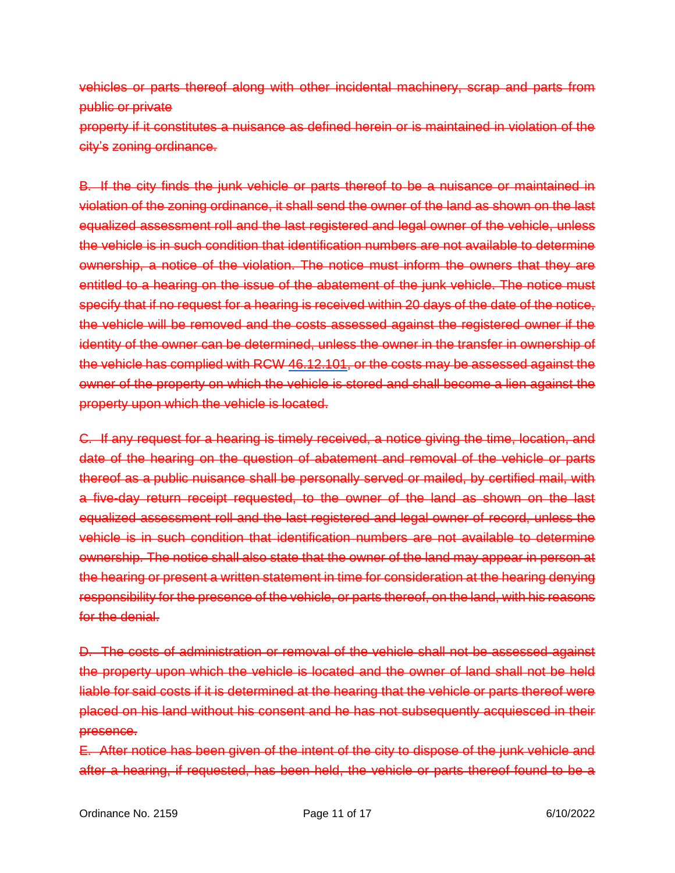vehicles or parts thereof along with other incidental machinery, scrap and parts from public or private

property if it constitutes a nuisance as defined herein or is maintained in violation of the city's zoning ordinance.

B. If the city finds the junk vehicle or parts thereof to be a nuisance or maintained in violation of the zoning ordinance, it shall send the owner of the land as shown on the last equalized assessment roll and the last registered and legal owner of the vehicle, unless the vehicle is in such condition that identification numbers are not available to determine ownership, a notice of the violation. The notice must inform the owners that they are entitled to a hearing on the issue of the abatement of the junk vehicle. The notice must specify that if no request for a hearing is received within 20 days of the date of the notice, the vehicle will be removed and the costs assessed against the registered owner if the identity of the owner can be determined, unless the owner in the transfer in ownership of the vehicle has complied with RCW [46.12.101,](https://www.codepublishing.com/cgi-bin/rcw.pl?cite=46.12.101) or the costs may be assessed against the owner of the property on which the vehicle is stored and shall become a lien against the property upon which the vehicle is located.

C. If any request for a hearing is timely received, a notice giving the time, location, and date of the hearing on the question of abatement and removal of the vehicle or parts thereof as a public nuisance shall be personally served or mailed, by certified mail, with a five-day return receipt requested, to the owner of the land as shown on the last equalized assessment roll and the last registered and legal owner of record, unless the vehicle is in such condition that identification numbers are not available to determine ownership. The notice shall also state that the owner of the land may appear in person at the hearing or present a written statement in time for consideration at the hearing denying responsibility for the presence of the vehicle, or parts thereof, on the land, with his reasons for the denial.

D. The costs of administration or removal of the vehicle shall not be assessed against the property upon which the vehicle is located and the owner of land shall not be held liable for said costs if it is determined at the hearing that the vehicle or parts thereof were placed on his land without his consent and he has not subsequently acquiesced in their presence.

E. After notice has been given of the intent of the city to dispose of the junk vehicle and after a hearing, if requested, has been held, the vehicle or parts thereof found to be a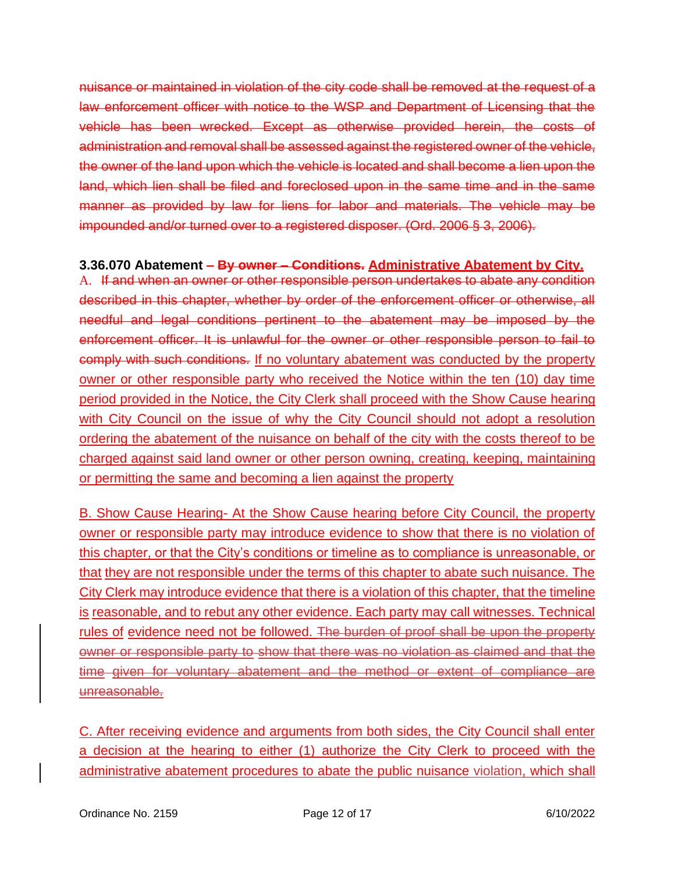nuisance or maintained in violation of the city code shall be removed at the request of a law enforcement officer with notice to the WSP and Department of Licensing that the vehicle has been wrecked. Except as otherwise provided herein, the costs of administration and removal shall be assessed against the registered owner of the vehicle, the owner of the land upon which the vehicle is located and shall become a lien upon the land, which lien shall be filed and foreclosed upon in the same time and in the same manner as provided by law for liens for labor and materials. The vehicle may be impounded and/or turned over to a registered disposer. (Ord. 2006 § 3, 2006).

### **3.36.070 Abatement – By owner – Conditions. Administrative Abatement by City.**

A. If and when an owner or other responsible person undertakes to abate any condition described in this chapter, whether by order of the enforcement officer or otherwise, all needful and legal conditions pertinent to the abatement may be imposed by the enforcement officer. It is unlawful for the owner or other responsible person to fail to comply with such conditions. If no voluntary abatement was conducted by the property owner or other responsible party who received the Notice within the ten (10) day time period provided in the Notice, the City Clerk shall proceed with the Show Cause hearing with City Council on the issue of why the City Council should not adopt a resolution ordering the abatement of the nuisance on behalf of the city with the costs thereof to be charged against said land owner or other person owning, creating, keeping, maintaining or permitting the same and becoming a lien against the property

B. Show Cause Hearing- At the Show Cause hearing before City Council, the property owner or responsible party may introduce evidence to show that there is no violation of this chapter, or that the City's conditions or timeline as to compliance is unreasonable, or that they are not responsible under the terms of this chapter to abate such nuisance. The City Clerk may introduce evidence that there is a violation of this chapter, that the timeline is reasonable, and to rebut any other evidence. Each party may call witnesses. Technical rules of evidence need not be followed. The burden of proof shall be upon the property owner or responsible party to show that there was no violation as claimed and that the time given for voluntary abatement and the method or extent of compliance are unreasonable.

C. After receiving evidence and arguments from both sides, the City Council shall enter a decision at the hearing to either (1) authorize the City Clerk to proceed with the administrative abatement procedures to abate the public nuisance violation, which shall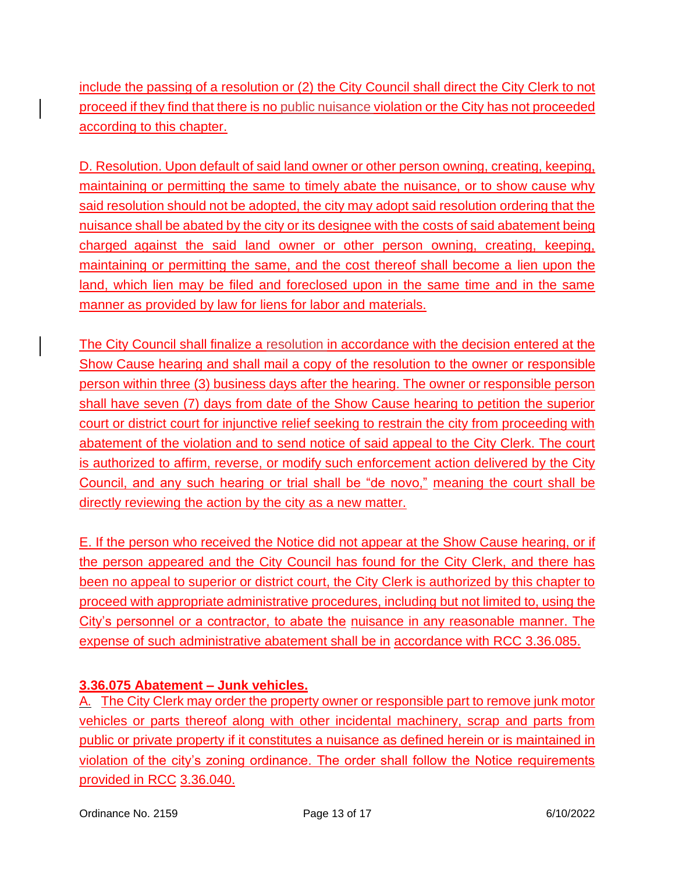include the passing of a resolution or (2) the City Council shall direct the City Clerk to not proceed if they find that there is no public nuisance violation or the City has not proceeded according to this chapter.

D. Resolution. Upon default of said land owner or other person owning, creating, keeping, maintaining or permitting the same to timely abate the nuisance, or to show cause why said resolution should not be adopted, the city may adopt said resolution ordering that the nuisance shall be abated by the city or its designee with the costs of said abatement being charged against the said land owner or other person owning, creating, keeping, maintaining or permitting the same, and the cost thereof shall become a lien upon the land, which lien may be filed and foreclosed upon in the same time and in the same manner as provided by law for liens for labor and materials.

The City Council shall finalize a resolution in accordance with the decision entered at the Show Cause hearing and shall mail a copy of the resolution to the owner or responsible person within three (3) business days after the hearing. The owner or responsible person shall have seven (7) days from date of the Show Cause hearing to petition the superior court or district court for injunctive relief seeking to restrain the city from proceeding with abatement of the violation and to send notice of said appeal to the City Clerk. The court is authorized to affirm, reverse, or modify such enforcement action delivered by the City Council, and any such hearing or trial shall be "de novo," meaning the court shall be directly reviewing the action by the city as a new matter.

E. If the person who received the Notice did not appear at the Show Cause hearing, or if the person appeared and the City Council has found for the City Clerk, and there has been no appeal to superior or district court, the City Clerk is authorized by this chapter to proceed with appropriate administrative procedures, including but not limited to, using the City's personnel or a contractor, to abate the nuisance in any reasonable manner. The expense of such administrative abatement shall be in accordance with RCC 3.36.085.

# **3.36.075 Abatement – Junk vehicles.**

A. The City Clerk may order the property owner or responsible part to remove junk motor vehicles or parts thereof along with other incidental machinery, scrap and parts from public or private property if it constitutes a nuisance as defined herein or is maintained in violation of the city's zoning ordinance. The order shall follow the Notice requirements provided in RCC 3.36.040.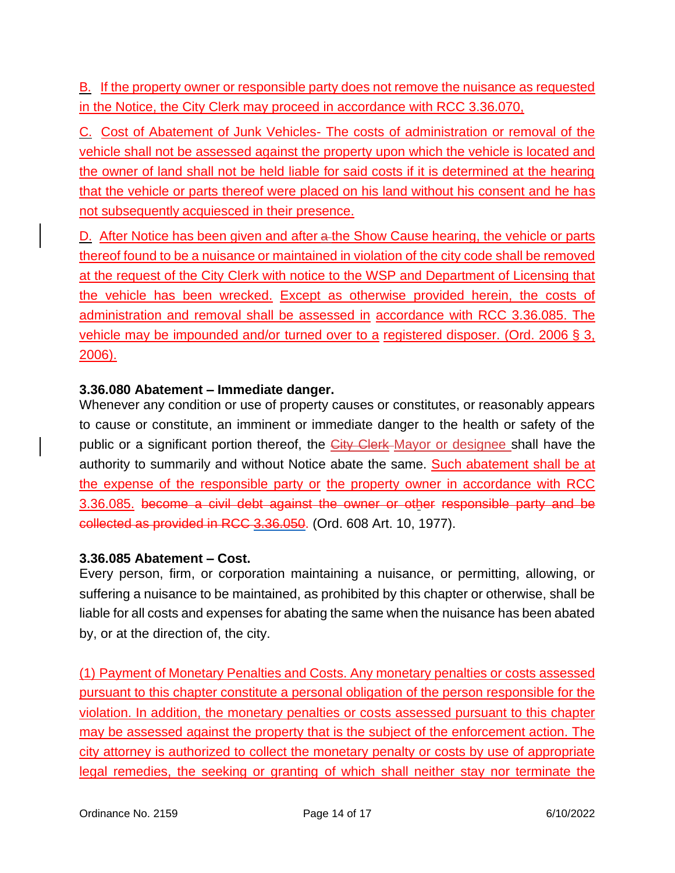B. If the property owner or responsible party does not remove the nuisance as requested in the Notice, the City Clerk may proceed in accordance with RCC 3.36.070,

C. Cost of Abatement of Junk Vehicles- The costs of administration or removal of the vehicle shall not be assessed against the property upon which the vehicle is located and the owner of land shall not be held liable for said costs if it is determined at the hearing that the vehicle or parts thereof were placed on his land without his consent and he has not subsequently acquiesced in their presence.

D. After Notice has been given and after a the Show Cause hearing, the vehicle or parts thereof found to be a nuisance or maintained in violation of the city code shall be removed at the request of the City Clerk with notice to the WSP and Department of Licensing that the vehicle has been wrecked. Except as otherwise provided herein, the costs of administration and removal shall be assessed in accordance with RCC 3.36.085. The vehicle may be impounded and/or turned over to a registered disposer. (Ord. 2006 § 3, 2006).

# **3.36.080 Abatement – Immediate danger.**

Whenever any condition or use of property causes or constitutes, or reasonably appears to cause or constitute, an imminent or immediate danger to the health or safety of the public or a significant portion thereof, the City Clerk Mayor or designee shall have the authority to summarily and without Notice abate the same. Such abatement shall be at the expense of the responsible party or the property owner in accordance with RCC 3.36.085. become a civil debt against the owner or other responsible party and be collected as provided in RCC [3.36.050.](https://www.codepublishing.com/WA/Ritzville/html/Ritzville03/Ritzville0336.html#3.36.050) (Ord. 608 Art. 10, 1977).

# **3.36.085 Abatement – Cost.**

Every person, firm, or corporation maintaining a nuisance, or permitting, allowing, or suffering a nuisance to be maintained, as prohibited by this chapter or otherwise, shall be liable for all costs and expenses for abating the same when the nuisance has been abated by, or at the direction of, the city.

(1) Payment of Monetary Penalties and Costs. Any monetary penalties or costs assessed pursuant to this chapter constitute a personal obligation of the person responsible for the violation. In addition, the monetary penalties or costs assessed pursuant to this chapter may be assessed against the property that is the subject of the enforcement action. The city attorney is authorized to collect the monetary penalty or costs by use of appropriate legal remedies, the seeking or granting of which shall neither stay nor terminate the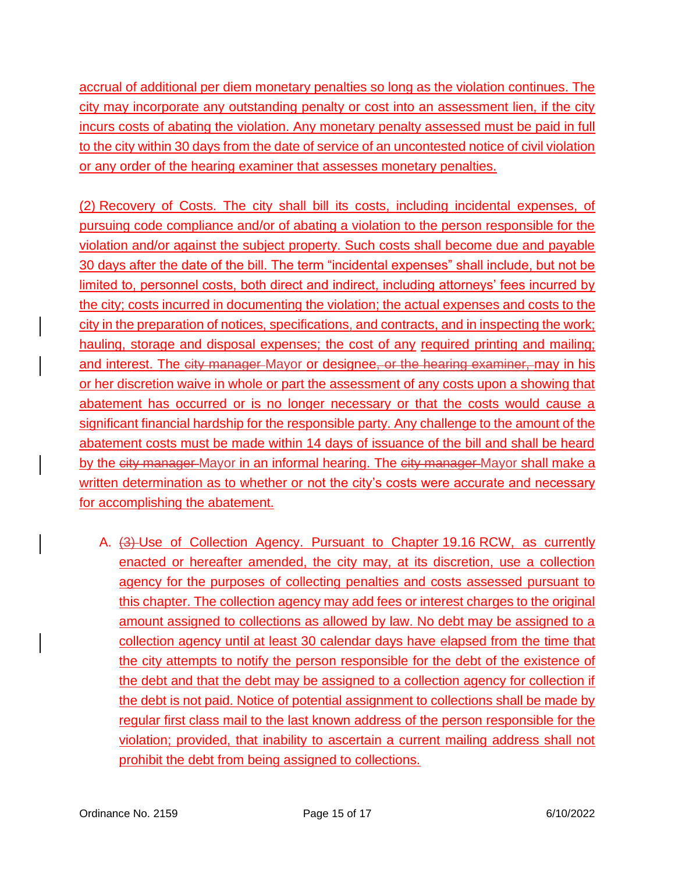accrual of additional per diem monetary penalties so long as the violation continues. The city may incorporate any outstanding penalty or cost into an assessment lien, if the city incurs costs of abating the violation. Any monetary penalty assessed must be paid in full to the city within 30 days from the date of service of an uncontested notice of civil violation or any order of the hearing examiner that assesses monetary penalties.

(2) Recovery of Costs. The city shall bill its costs, including incidental expenses, of pursuing code compliance and/or of abating a violation to the person responsible for the violation and/or against the subject property. Such costs shall become due and payable 30 days after the date of the bill. The term "incidental expenses" shall include, but not be limited to, personnel costs, both direct and indirect, including attorneys' fees incurred by the city; costs incurred in documenting the violation; the actual expenses and costs to the city in the preparation of notices, specifications, and contracts, and in inspecting the work; hauling, storage and disposal expenses; the cost of any required printing and mailing; and interest. The city manager Mayor or designee, or the hearing examiner, may in his or her discretion waive in whole or part the assessment of any costs upon a showing that abatement has occurred or is no longer necessary or that the costs would cause a significant financial hardship for the responsible party. Any challenge to the amount of the abatement costs must be made within 14 days of issuance of the bill and shall be heard by the eity manager Mayor in an informal hearing. The eity manager Mayor shall make a written determination as to whether or not the city's costs were accurate and necessary for accomplishing the abatement.

A. (3) Use of Collection Agency. Pursuant to Chapter 19.16 RCW, as currently enacted or hereafter amended, the city may, at its discretion, use a collection agency for the purposes of collecting penalties and costs assessed pursuant to this chapter. The collection agency may add fees or interest charges to the original amount assigned to collections as allowed by law. No debt may be assigned to a collection agency until at least 30 calendar days have elapsed from the time that the city attempts to notify the person responsible for the debt of the existence of the debt and that the debt may be assigned to a collection agency for collection if the debt is not paid. Notice of potential assignment to collections shall be made by regular first class mail to the last known address of the person responsible for the violation; provided, that inability to ascertain a current mailing address shall not prohibit the debt from being assigned to collections.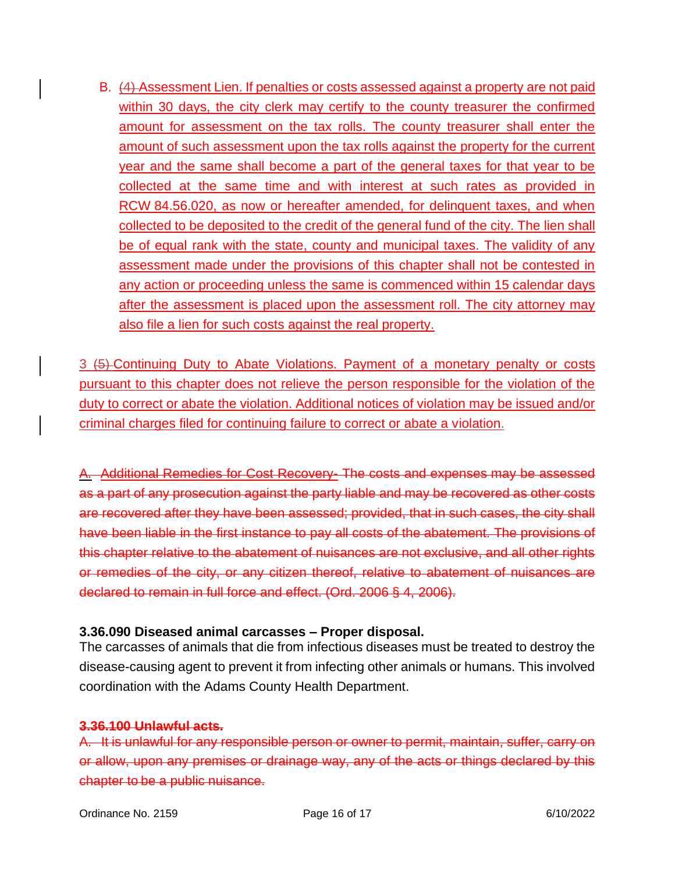B. (4) Assessment Lien. If penalties or costs assessed against a property are not paid within 30 days, the city clerk may certify to the county treasurer the confirmed amount for assessment on the tax rolls. The county treasurer shall enter the amount of such assessment upon the tax rolls against the property for the current year and the same shall become a part of the general taxes for that year to be collected at the same time and with interest at such rates as provided in RCW 84.56.020, as now or hereafter amended, for delinquent taxes, and when collected to be deposited to the credit of the general fund of the city. The lien shall be of equal rank with the state, county and municipal taxes. The validity of any assessment made under the provisions of this chapter shall not be contested in any action or proceeding unless the same is commenced within 15 calendar days after the assessment is placed upon the assessment roll. The city attorney may also file a lien for such costs against the real property.

3 (5) Continuing Duty to Abate Violations. Payment of a monetary penalty or costs pursuant to this chapter does not relieve the person responsible for the violation of the duty to correct or abate the violation. Additional notices of violation may be issued and/or criminal charges filed for continuing failure to correct or abate a violation.

A. Additional Remedies for Cost Recovery- The costs and expenses may be assessed as a part of any prosecution against the party liable and may be recovered as other costs are recovered after they have been assessed; provided, that in such cases, the city shall have been liable in the first instance to pay all costs of the abatement. The provisions of this chapter relative to the abatement of nuisances are not exclusive, and all other rights or remedies of the city, or any citizen thereof, relative to abatement of nuisances are declared to remain in full force and effect. (Ord. 2006 § 4, 2006).

### **3.36.090 Diseased animal carcasses – Proper disposal.**

The carcasses of animals that die from infectious diseases must be treated to destroy the disease-causing agent to prevent it from infecting other animals or humans. This involved coordination with the Adams County Health Department.

#### **3.36.100 Unlawful acts.**

A. It is unlawful for any responsible person or owner to permit, maintain, suffer, carry on or allow, upon any premises or drainage way, any of the acts or things declared by this chapter to be a public nuisance.

Ordinance No. 2159 **Page 16 of 17 Page 16 of 17** 6/10/2022